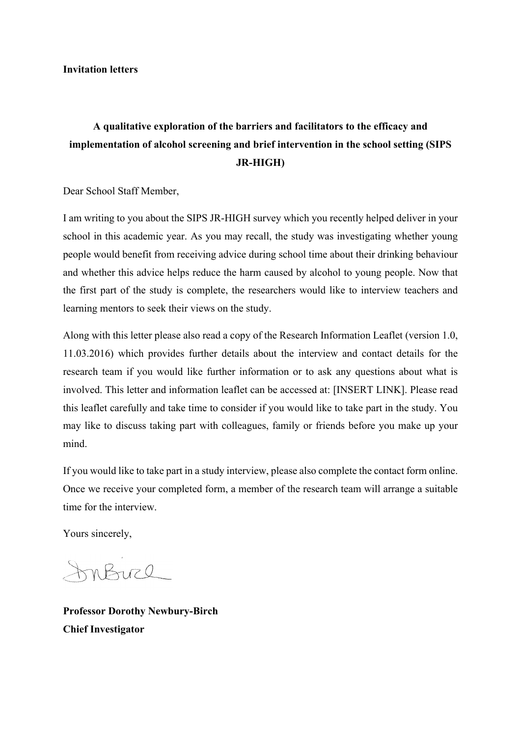**Invitation letters**

# **A qualitative exploration of the barriers and facilitators to the efficacy and implementation of alcohol screening and brief intervention in the school setting (SIPS JR-HIGH)**

Dear School Staff Member,

I am writing to you about the SIPS JR-HIGH survey which you recently helped deliver in your school in this academic year. As you may recall, the study was investigating whether young people would benefit from receiving advice during school time about their drinking behaviour and whether this advice helps reduce the harm caused by alcohol to young people. Now that the first part of the study is complete, the researchers would like to interview teachers and learning mentors to seek their views on the study.

Along with this letter please also read a copy of the Research Information Leaflet (version 1.0, 11.03.2016) which provides further details about the interview and contact details for the research team if you would like further information or to ask any questions about what is involved. This letter and information leaflet can be accessed at: [INSERT LINK]. Please read this leaflet carefully and take time to consider if you would like to take part in the study. You may like to discuss taking part with colleagues, family or friends before you make up your mind.

If you would like to take part in a study interview, please also complete the contact form online. Once we receive your completed form, a member of the research team will arrange a suitable time for the interview.

Yours sincerely,

InBuch

**Professor Dorothy Newbury-Birch Chief Investigator**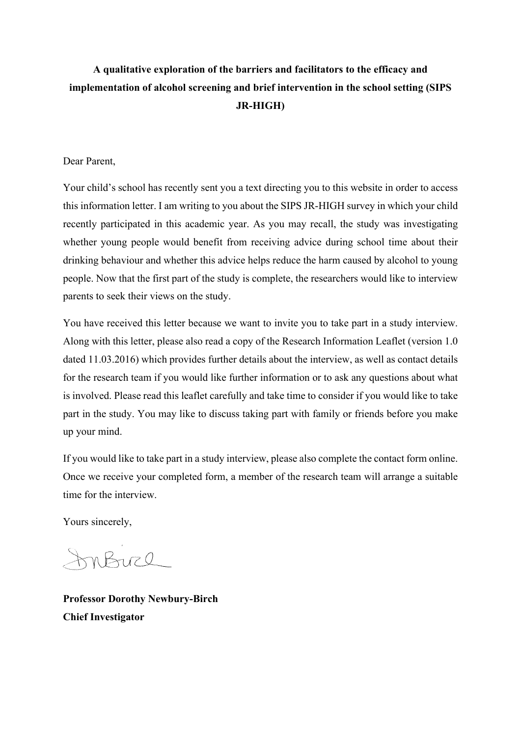## **A qualitative exploration of the barriers and facilitators to the efficacy and implementation of alcohol screening and brief intervention in the school setting (SIPS JR-HIGH)**

### Dear Parent,

Your child's school has recently sent you a text directing you to this website in order to access this information letter. I am writing to you about the SIPS JR-HIGH survey in which your child recently participated in this academic year. As you may recall, the study was investigating whether young people would benefit from receiving advice during school time about their drinking behaviour and whether this advice helps reduce the harm caused by alcohol to young people. Now that the first part of the study is complete, the researchers would like to interview parents to seek their views on the study.

You have received this letter because we want to invite you to take part in a study interview. Along with this letter, please also read a copy of the Research Information Leaflet (version 1.0 dated 11.03.2016) which provides further details about the interview, as well as contact details for the research team if you would like further information or to ask any questions about what is involved. Please read this leaflet carefully and take time to consider if you would like to take part in the study. You may like to discuss taking part with family or friends before you make up your mind.

If you would like to take part in a study interview, please also complete the contact form online. Once we receive your completed form, a member of the research team will arrange a suitable time for the interview.

Yours sincerely,

InBuch

**Professor Dorothy Newbury-Birch Chief Investigator**